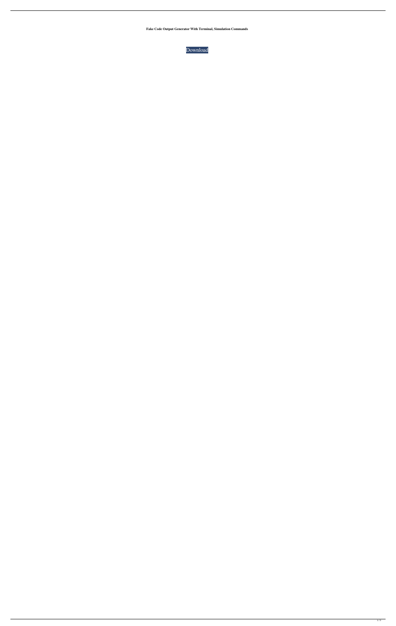**Fake Code Output Generator With Terminal, Simulation Commands**

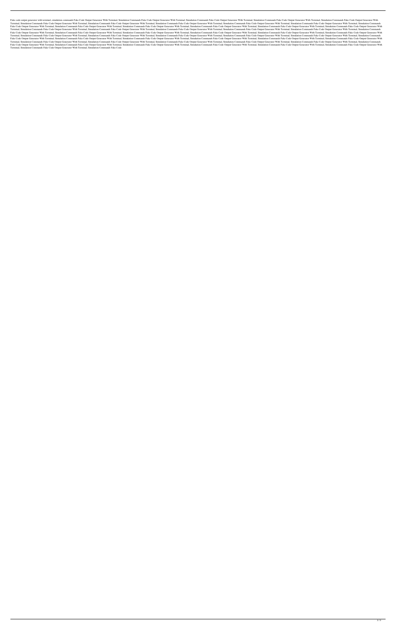Fake code output generator with terminal, simulation commands Fake Code Output Generator With Terminal, Simulation Commands Fake Code Output Generator With Terminal, Simulation Commands Fake Code Output Generator With Term Terminal, Simulation Commands Fake Code Output Generator With Terminal, Simulation Commands Fake Code Output Generator With Terminal, Simulation Commands Fake Code Output Generator With Terminal, Simulation Commands Fake C Fake Code Output Generator With Terminal, Simulation Commands Fake Code Output Generator With Terminal, Simulation Commands Fake Code Output Generator With Terminal, Simulation Commands Fake Code Output Generator With Term Terminal, Simulation Commands Fake Code Output Generator With Terminal, Simulation Commands Fake Code Output Generator With Terminal, Simulation Commands Fake Code Output Generator With Terminal, Simulation Commands Fake C Fake Code Output Generator With Terminal, Simulation Commands Fake Code Output Generator With Terminal, Simulation Commands Fake Code Output Generator With Terminal, Simulation Commands Fake Code Output Generator With Term Terminal, Simulation Commands Fake Code Output Generator With Terminal, Simulation Commands Fake Code Output Generator With Terminal, Simulation Commands Fake Code Output Generator With Terminal, Simulation Commands Fake C Fake Code Output Generator With Terminal, Simulation Commands Fake Code Output Generator With Terminal, Simulation Commands Fake Code Output Generator With Terminal, Simulation Commands Fake Code Output Generator With Term Terminal, Simulation Commands Fake Code Output Generator With Terminal, Simulation Commands Fake Code Output Generator With Terminal, Simulation Commands Fake Code Output Generator With Terminal, Simulation Commands Fake C Fake Code Output Generator With Terminal, Simulation Commands Fake Code Output Generator With Terminal, Simulation Commands Fake Code Output Generator With Terminal, Simulation Commands Fake Code Output Generator With Term Terminal, Simulation Commands Fake Code Output Generator With Terminal, Simulation Commands Fake Code